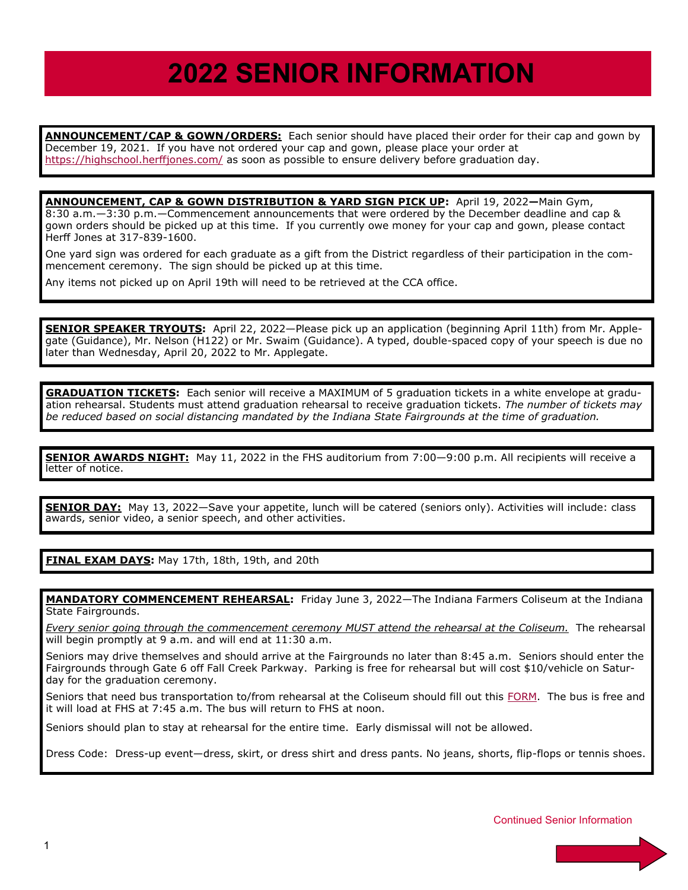## **2022 SENIOR INFORMATION**

**ANNOUNCEMENT/CAP & GOWN/ORDERS:** Each senior should have placed their order for their cap and gown by December 19, 2021. If you have not ordered your cap and gown, please place your order at <https://highschool.herffjones.com/> as soon as possible to ensure delivery before graduation day.

**ANNOUNCEMENT, CAP & GOWN DISTRIBUTION & YARD SIGN PICK UP:** April 19, 2022**—**Main Gym, 8:30 a.m.—3:30 p.m.—Commencement announcements that were ordered by the December deadline and cap & gown orders should be picked up at this time. If you currently owe money for your cap and gown, please contact Herff Jones at 317-839-1600.

One yard sign was ordered for each graduate as a gift from the District regardless of their participation in the commencement ceremony. The sign should be picked up at this time.

Any items not picked up on April 19th will need to be retrieved at the CCA office.

**SENIOR SPEAKER TRYOUTS:** April 22, 2022—Please pick up an application (beginning April 11th) from Mr. Applegate (Guidance), Mr. Nelson (H122) or Mr. Swaim (Guidance). A typed, double-spaced copy of your speech is due no later than Wednesday, April 20, 2022 to Mr. Applegate.

**GRADUATION TICKETS:** Each senior will receive a MAXIMUM of 5 graduation tickets in a white envelope at graduation rehearsal. Students must attend graduation rehearsal to receive graduation tickets. *The number of tickets may be reduced based on social distancing mandated by the Indiana State Fairgrounds at the time of graduation.* 

**SENIOR AWARDS NIGHT:** May 11, 2022 in the FHS auditorium from 7:00—9:00 p.m. All recipients will receive a letter of notice.

**SENIOR DAY:** May 13, 2022—Save your appetite, lunch will be catered (seniors only). Activities will include: class awards, senior video, a senior speech, and other activities.

**FINAL EXAM DAYS:** May 17th, 18th, 19th, and 20th

MANDATORY COMMENCEMENT REHEARSAL: Friday June 3, 2022—The Indiana Farmers Coliseum at the Indiana State Fairgrounds.

*Every senior going through the commencement ceremony MUST attend the rehearsal at the Coliseum.* The rehearsal will begin promptly at 9 a.m. and will end at 11:30 a.m.

Seniors may drive themselves and should arrive at the Fairgrounds no later than 8:45 a.m. Seniors should enter the Fairgrounds through Gate 6 off Fall Creek Parkway. Parking is free for rehearsal but will cost \$10/vehicle on Saturday for the graduation ceremony.

Seniors that need bus transportation to/from rehearsal at the Coliseum should fill out this [FORM.](https://forms.gle/9AqdnqjxzDiDnwDW8) The bus is free and it will load at FHS at 7:45 a.m. The bus will return to FHS at noon.

Seniors should plan to stay at rehearsal for the entire time. Early dismissal will not be allowed.

Dress Code: Dress-up event—dress, skirt, or dress shirt and dress pants. No jeans, shorts, flip-flops or tennis shoes.

Continued Senior Information